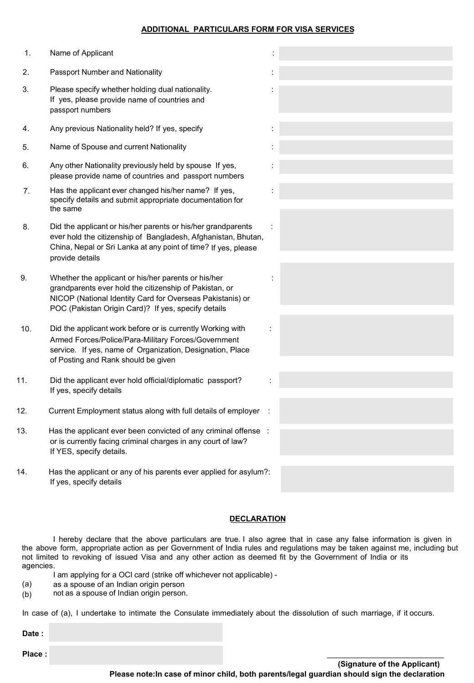## **ADDITIONAL PARTICULARS FORM FOR VISA SERVICES**

| 1.  | Name of Applicant                                                                                                                                                                                                                 |  |
|-----|-----------------------------------------------------------------------------------------------------------------------------------------------------------------------------------------------------------------------------------|--|
| 2.  | Passport Number and Nationality                                                                                                                                                                                                   |  |
| 3.  | Please specify whether holding dual nationality.<br>If yes, please provide name of countries and<br>passport numbers                                                                                                              |  |
| 4.  | Any previous Nationality held? If yes, specify                                                                                                                                                                                    |  |
| 5.  | Name of Spouse and current Nationality                                                                                                                                                                                            |  |
| 6.  | Any other Nationality previously held by spouse If yes,<br>please provide name of countries and passport numbers                                                                                                                  |  |
| 7.  | Has the applicant ever changed his/her name? If yes,<br>specify details and submit appropriate documentation for<br>the same                                                                                                      |  |
| 8.  | Did the applicant or his/her parents or his/her grandparents<br>ever hold the citizenship of Bangladesh, Afghanistan, Bhutan,<br>China, Nepal or Sri Lanka at any point of time? If yes, please<br>provide details                |  |
| 9.  | Whether the applicant or his/her parents or his/her<br>grandparents ever hold the citizenship of Pakistan, or<br>NICOP (National Identity Card for Overseas Pakistanis) or<br>POC (Pakistan Origin Card)? If yes, specify details |  |
| 10. | Did the applicant work before or is currently Working with<br>Armed Forces/Police/Para-Military Forces/Government<br>service. If yes, name of Organization, Designation, Place<br>of Posting and Rank should be given             |  |
| 11. | Did the applicant ever hold official/diplomatic passport?<br>If yes, specify details                                                                                                                                              |  |
| 12. | Current Employment status along with full details of employer                                                                                                                                                                     |  |
| 13. | Has the applicant ever been convicted of any criminal offense :<br>or is currently facing criminal charges in any court of law?<br>If YES, specify details.                                                                       |  |
| 14. | Has the applicant or any of his parents ever applied for asylum?:<br>If yes, specify details                                                                                                                                      |  |

# **DECLARATION**

I hereby declare that the above particulars are true. I also agree that in case any false information is given in<br>the above form, appropriate action as per Government of India rules and regulations may be taken against me, I hereby declare that the above particulars are true. I also agree that in case any false information is given in<br>the above form, appropriate action as per Government of India rules and regulations may be taken against me, not limited to revoking of issued Visa and any other action as deemed fit by the Government of India or its agencies.<br>
I am applying for a OCI card (strike off whichever not applicable) -<br>
(a) as a spouse of an Indian orig agencies.

- (a)
- (b) not as a spouse of Indian origin person. a) as a spouse of an Indian origin person<br>b) and as a spouse of Indian origin person.<br>case of (a), I undertake to intimate the Con<br>**ate**:

I am applying for a OCI card (strike off whichever not applicable) -<br>
(a) as a spouse of an Indian origin person<br>
(b) not as a spouse of Indian origin person.<br>
In case of (a), I undertake to intimate the Consulate immediat In case of (a), I undertake to intimate the Consulate immediately about the dissolution of such marriage, if it occurs.<br> **Date :**<br> **Place :**<br> **Clause :** 

**Date :**

Place :<br>Place :<br>Please note:In case of minor child, both parents/legal guardian should sign the declaration<br>Please note:In case of minor child, both parents/legal guardian should sign the declaration (Signature of the Applicant)<br>Please note:In case of minor child, both parents/legal guardian should sign the declaration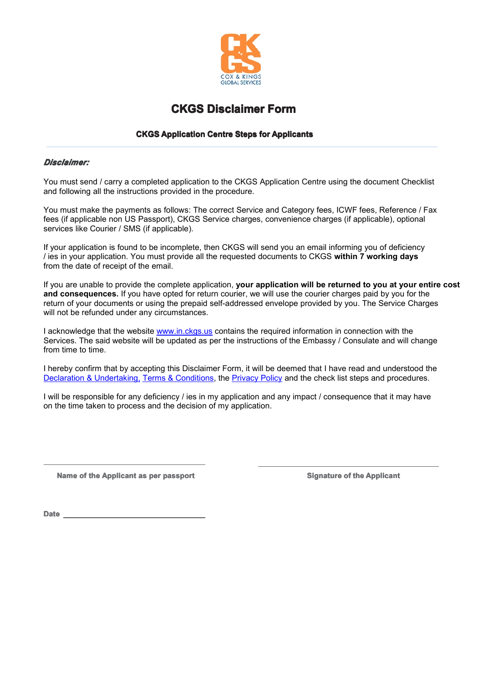

# **CKGS Disclaimer Form**<br>**CKGS Application Centre Steps for Application**<br> **ompleted application to the CKGS Application**

# *Disclaimer: Disclaimer:Disclaimer: Disclaimer:*

**CKGS Application Centre Steps for Applicants**<br> **arry a completed application to the CKGS Application Ce** 

You must send / carry a completed application to the CKGS Application Centre using the document Checklist<br>and following all the instructions provided in the procedure.<br>You must make the payments as follows: The correct Ser You must send / carry a completed application to the CKG:<br>and following all the instructions provided in the procedure.<br>You must make the payments as follows: The correct Serv<br>fees (if applicable non US Passport), CKGS Ser You must make the payments as follows: The correct Service and Category fees, ICWF fees, Reference / Fax fees (if applicable non US Passport), CKGS Service charges, convenience charges (if applicable), optional services li

You must make the payments as follows: The correct Service and Category fees, ICWF fees, Reference /<br>fees (if applicable non US Passport), CKGS Service charges, convenience charges (if applicable), optional<br>services like C services like Courier / SMS (if applicable).<br>If your application is found to be incomplete, then CKGS will send you an email informing you of deficiency<br>/ ies in your application. You must provide all the requested documen

If your application is found to be incomplete, then CKGS will send you an email informing you of deficiency / ies in your application. You must provide all the requested documents to CKGS within 7 working days from the dat *f* ies in your application. You must p<br>from the date of receipt of the email.<br>If you are unable to provide the com<br>**and consequences**. If you have op<br>return of your documents or using the<br>will not be refunded under any ci If you are unable to provide the complete application, **your application will be returned to you at your entire cost**<br> **and consequences**. If you have opted for return courier, we will use the courier charges paid by you f If you are unable to provide the complete application, your application will be returned to you at your en and consequences. If you have opted for return courier, we will use the courier charges paid by you for the return

and consequences. If you have opted for return courier, we will use the courier charges paid by you for the return of your documents or using the prepaid self-addressed envelope provided by you. The Service Charges will no return of your documents or using the prepaid<br>will not be refunded under any circumstances.<br>Lacknowledge that the website <u>www.in.ckgs.u</u><br>Services. The said website will be updated as<br>from time to time. I acknowledge that the website www.in.ckgs.us contains the required information in connection with the Services. The said website will be updated as per the instructions of the Embassy / Consulate and will of from time to Services. The said website will be updated as per the instructions of the Embassy / Consulate and will change<br>from time to time.<br>I hereby confirm that by accepting this Disclaimer Form, it will be deemed that I have read a

Services. The sai<br>from time to time.<br>I hereby confirm to<br>Declaration & Unit<br>I will be responsit I hereby confirm that by accepting this Disclaimer Form, it will be deemed that I have read and understood the Declaration & Undertaking, Terms & Conditions, the Privacy Policy and the check list steps and procedures.<br>I wi

I hereby confirm that by accepting this Disclaimer Form, it will be deemed that I have read and understood t<br>Declaration & Undertaking, Terms & Conditions, the Privacy Policy and the check list steps and procedures.<br>I will I will be responsible for any deficiency / ies in my application and any impact / consequence that it may have<br>on the time taken to process and the decision of my application. on the time taken to process and the decision of my application.

Name of the Applicant as per passport<br>
Signature of the Applicant<br>
Date **Date**